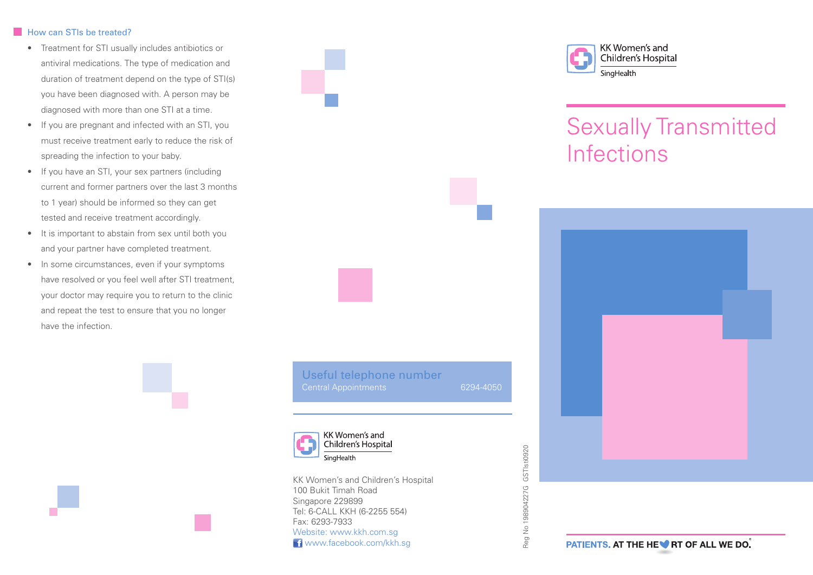## How can STIs be treated?

- Treatment for STI usually includes antibiotics or antiviral medications. The type of medication and duration of treatment depend on the type of STI(s) you have been diagnosed with. A person may be diagnosed with more than one STI at a time.
- If you are pregnant and infected with an STI, you must receive treatment early to reduce the risk of spreading the infection to your baby.
- If you have an STI, your sex partners (including current and former partners over the last 3 months to 1 year) should be informed so they can get tested and receive treatment accordingly.
- It is important to abstain from sex until both you and your partner have completed treatment.
- In some circumstances, even if your symptoms have resolved or you feel well after STI treatment, your doctor may require you to return to the clinic and repeat the test to ensure that you no longer have the infection.



Reg No 198904227G GSTIsti0920

Reg No 198904227G

GSTIsti0920



KK Women's and Children's Hospital 100 Bukit Timah Road Singapore 229899 Tel: 6-CALL KKH (6-2255 554) Fax: 6293-7933 Website: www.kkh.com.sg **f** www.facebook.com/kkh.sq



# Sexually Transmitted **Infections**



**PATIENTS. AT THE HEV RT OF ALL WE DO.**